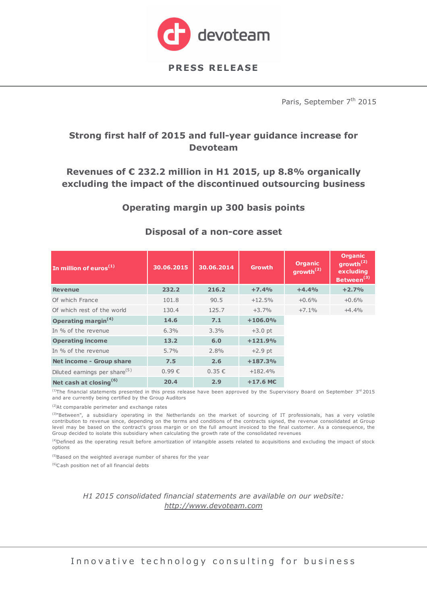

Paris, September 7<sup>th</sup> 2015

## **Strong first half of 2015 and full-year guidance increase for Devoteam**

## **Revenues of € 232.2 million in H1 2015, up 8.8% organically excluding the impact of the discontinued outsourcing business**

### **Operating margin up 300 basis points**

| In million of euros $(1)$                 | 30.06.2015 | 30.06.2014 | <b>Growth</b> | <b>Organic</b><br>growth <sup><math>(2)</math></sup> | <b>Organic</b><br>growth $^{(2)}$<br>excluding<br>Between <sup>(3)</sup> |
|-------------------------------------------|------------|------------|---------------|------------------------------------------------------|--------------------------------------------------------------------------|
| <b>Revenue</b>                            | 232.2      | 216.2      | $+7.4%$       | $+4.4%$                                              | $+2.7%$                                                                  |
| Of which France                           | 101.8      | 90.5       | $+12.5%$      | $+0.6%$                                              | $+0.6%$                                                                  |
| Of which rest of the world                | 130.4      | 125.7      | $+3.7%$       | $+7.1%$                                              | $+4.4%$                                                                  |
| Operating margin <sup>(4)</sup>           | 14.6       | 7.1        | $+106.0%$     |                                                      |                                                                          |
| In % of the revenue                       | 6.3%       | 3.3%       | $+3.0$ pt     |                                                      |                                                                          |
| <b>Operating income</b>                   | 13.2       | 6.0        | $+121.9%$     |                                                      |                                                                          |
| In % of the revenue                       | $5.7\%$    | 2.8%       | $+2.9$ pt     |                                                      |                                                                          |
| <b>Net income - Group share</b>           | 7.5        | 2.6        | $+187.3%$     |                                                      |                                                                          |
| Diluted earnings per share <sup>(5)</sup> | $0.99 \in$ | 0.35€      | $+182.4%$     |                                                      |                                                                          |
| Net cash at closing <sup>(6)</sup>        | 20.4       | 2.9        | $+17.6$ MC    |                                                      |                                                                          |

#### **Disposal of a non-core asset**

 $(1)$ The financial statements presented in this press release have been approved by the Supervisory Board on September 3<sup>rd</sup> 2015 and are currently being certified by the Group Auditors

(2)At comparable perimeter and exchange rates

<sup>(3)</sup>"Between", a subsidiary operating in the Netherlands on the market of sourcing of IT professionals, has a very volatile contribution to revenue since, depending on the terms and conditions of the contracts signed, the revenue consolidated at Group level may be based on the contract's gross margin or on the full amount invoiced to the final customer. As a consequence, the Group decided to isolate this subsidiary when calculating the growth rate of the consolidated revenues

 $<sup>(4)</sup>$ Defined as the operating result before amortization of intangible assets related to acquisitions and excluding the impact of stock</sup> options

<sup>(5)</sup>Based on the weighted average number of shares for the year

(6)C ash position net of all financial debts

*H1 2015 consolidated financial statements are available on our website: http://www.devoteam.com*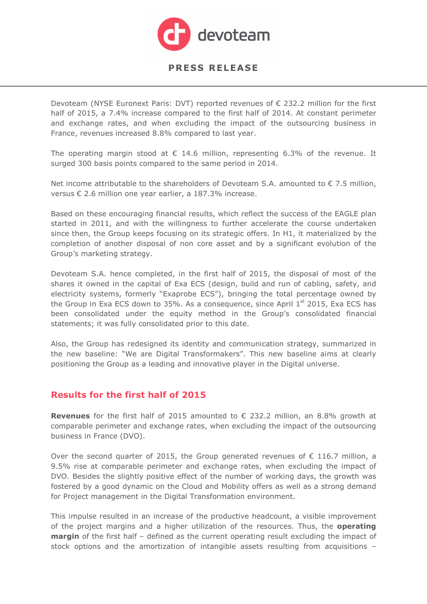

Devoteam (NYSE Euronext Paris: DVT) reported revenues of  $\epsilon$  232.2 million for the first half of 2015, a 7.4% increase compared to the first half of 2014. At constant perimeter and exchange rates, and when excluding the impact of the outsourcing business in France, revenues increased 8.8% compared to last year.

The operating margin stood at  $\epsilon$  14.6 million, representing 6.3% of the revenue. It surged 300 basis points compared to the same period in 2014.

Net income attributable to the shareholders of Devoteam S.A. amounted to  $\epsilon$  7.5 million, versus € 2.6 million one year earlier, a 187.3% increase.

Based on these encouraging financial results, which reflect the success of the EAGLE plan started in 2011, and with the willingness to further accelerate the course undertaken since then, the Group keeps focusing on its strategic offers. In H1, it materialized by the completion of another disposal of non core asset and by a significant evolution of the Group's marketing strategy.

Devoteam S.A. hence completed, in the first half of 2015, the disposal of most of the shares it owned in the capital of Exa ECS (design, build and run of cabling, safety, and electricity systems, formerly "Exaprobe ECS"), bringing the total percentage owned by the Group in Exa ECS down to 35%. As a consequence, since April  $1<sup>st</sup>$  2015, Exa ECS has been consolidated under the equity method in the Group's consolidated financial statements; it was fully consolidated prior to this date.

Also, the Group has redesigned its identity and communication strategy, summarized in the new baseline: "We are Digital Transformakers". This new baseline aims at clearly positioning the Group as a leading and innovative player in the Digital universe.

#### **Results for the first half of 2015**

**Revenues** for the first half of 2015 amounted to € 232.2 million, an 8.8% growth at comparable perimeter and exchange rates, when excluding the impact of the outsourcing business in France (DVO).

Over the second quarter of 2015, the Group generated revenues of  $\epsilon$  116.7 million, a 9.5% rise at comparable perimeter and exchange rates, when excluding the impact of DVO. Besides the slightly positive effect of the number of working days, the growth was fostered by a good dynamic on the Cloud and Mobility offers as well as a strong demand for Project management in the Digital Transformation environment.

This impulse resulted in an increase of the productive headcount, a visible improvement of the project margins and a higher utilization of the resources. Thus, the **operating margin** of the first half – defined as the current operating result excluding the impact of stock options and the amortization of intangible assets resulting from acquisitions –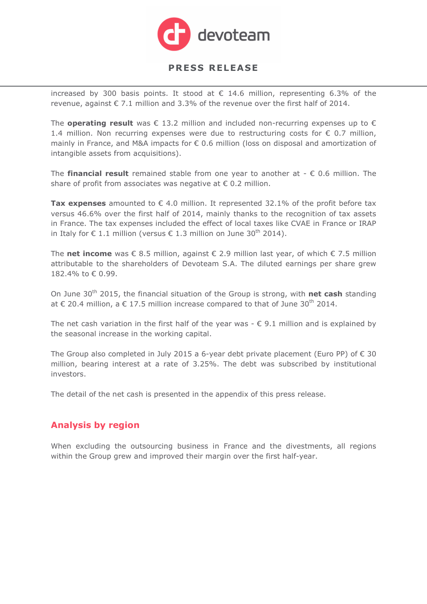

increased by 300 basis points. It stood at  $\epsilon$  14.6 million, representing 6.3% of the revenue, against  $\epsilon$  7.1 million and 3.3% of the revenue over the first half of 2014.

The **operating result** was  $\in$  13.2 million and included non-recurring expenses up to  $\in$ 1.4 million. Non recurring expenses were due to restructuring costs for  $\epsilon$  0.7 million, mainly in France, and M&A impacts for € 0.6 million (loss on disposal and amortization of intangible assets from acquisitions).

The **financial result** remained stable from one year to another at  $- \epsilon$  0.6 million. The share of profit from associates was negative at  $\epsilon$  0.2 million.

**Tax expenses** amounted to  $€$  4.0 million. It represented 32.1% of the profit before tax versus 46.6% over the first half of 2014, mainly thanks to the recognition of tax assets in France. The tax expenses included the effect of local taxes like CVAE in France or IRAP in Italy for € 1.1 million (versus € 1.3 million on June 30<sup>th</sup> 2014).

The **net income** was € 8.5 million, against € 2.9 million last year, of which € 7.5 million attributable to the shareholders of Devoteam S.A. The diluted earnings per share grew 182.4% to € 0.99.

On June 30<sup>th</sup> 2015, the financial situation of the Group is strong, with **net cash** standing at € 20.4 million, a € 17.5 million increase compared to that of June 30<sup>th</sup> 2014.

The net cash variation in the first half of the year was  $-\epsilon$  9.1 million and is explained by the seasonal increase in the working capital.

The Group also completed in July 2015 a 6-year debt private placement (Euro PP) of  $\epsilon$  30 million, bearing interest at a rate of 3.25%. The debt was subscribed by institutional investors.

The detail of the net cash is presented in the appendix of this press release.

# **Analysis by region**

When excluding the outsourcing business in France and the divestments, all regions within the Group grew and improved their margin over the first half-year.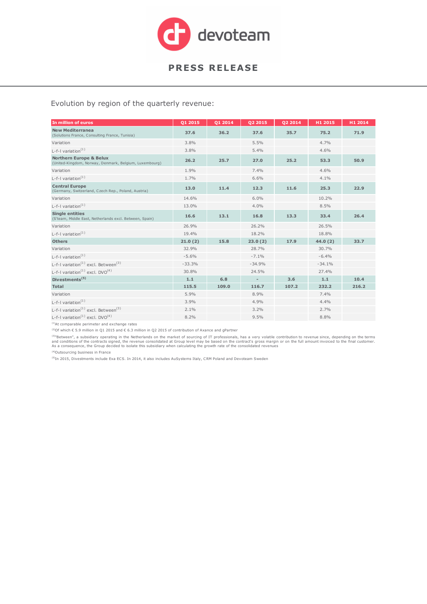

#### Evolution by region of the quarterly revenue:

| In million of euros                                                                          | 01 2015  | 01 2014 | 02 2015                  | 02 2014 | H1 2015  | H1 2014 |
|----------------------------------------------------------------------------------------------|----------|---------|--------------------------|---------|----------|---------|
| <b>New Mediterranea</b><br>(Solutions France, Consulting France, Tunisia)                    | 37.6     | 36.2    | 37.6                     | 35.7    | 75.2     | 71.9    |
| Variation                                                                                    | 3.8%     |         | 5.5%                     |         | 4.7%     |         |
| L-f-I variation $(1)$                                                                        | 3.8%     |         | 5.4%                     |         | 4.6%     |         |
| <b>Northern Europe &amp; Belux</b><br>(United-Kingdom, Norway, Denmark, Belgium, Luxembourg) | 26.2     | 25.7    | 27.0                     | 25.2    | 53.3     | 50.9    |
| Variation                                                                                    | 1.9%     |         | 7.4%                     |         | 4.6%     |         |
| L-f-I variation $(1)$                                                                        | 1.7%     |         | 6.6%                     |         | 4.1%     |         |
| <b>Central Europe</b><br>(Germany, Switzerland, Czech Rep., Poland, Austria)                 | 13.0     | 11.4    | 12.3                     | 11.6    | 25.3     | 22.9    |
| Variation                                                                                    | 14.6%    |         | 6.0%                     |         | 10.2%    |         |
| L-f-I variation $(1)$                                                                        | 13.0%    |         | 4.0%                     |         | 8.5%     |         |
| <b>Single entities</b><br>(S'team, Middle East, Netherlands excl. Between, Spain)            | 16.6     | 13.1    | 16.8                     | 13.3    | 33.4     | 26.4    |
| Variation                                                                                    | 26.9%    |         | 26.2%                    |         | 26.5%    |         |
| L-f-I variation $(1)$                                                                        | 19.4%    |         | 18.2%                    |         | 18.8%    |         |
| <b>Others</b>                                                                                | 21.0(2)  | 15.8    | 23.0(2)                  | 17.9    | 44.0(2)  | 33.7    |
| Variation                                                                                    | 32.9%    |         | 28.7%                    |         | 30.7%    |         |
| $L-f-1$ variation <sup>(1)</sup>                                                             | $-5.6%$  |         | $-7.1%$                  |         | $-6.4%$  |         |
| L-f-I variation <sup>(1)</sup> excl. Between <sup>(3)</sup>                                  | $-33.3%$ |         | $-34.9%$                 |         | $-34.1%$ |         |
| L-f-I variation <sup>(1)</sup> excl. $DVO^{(4)}$                                             | 30.8%    |         | 24.5%                    |         | 27.4%    |         |
| Divestments <sup>(5)</sup>                                                                   | 1.1      | 6,8     | $\overline{\phantom{a}}$ | 3.6     | 1.1      | 10.4    |
| <b>Total</b>                                                                                 | 115.5    | 109.0   | 116.7                    | 107.2   | 232.2    | 216.2   |
| Variation                                                                                    | 5.9%     |         | 8.9%                     |         | 7.4%     |         |
| L-f-I variation $(1)$                                                                        | 3.9%     |         | 4.9%                     |         | 4.4%     |         |
| L-f-I variation <sup>(1)</sup> excl. Between <sup>(3)</sup>                                  | 2.1%     |         | 3.2%                     |         | 2.7%     |         |
| L-f-I variation <sup>(1)</sup> excl. $DVO(4)$                                                | 8.2%     |         | 9.5%                     |         | 8.8%     |         |

(1)At comparable perimeter and exchange rates

(2)Of which € 5.9 million in Q1 2015 and € 6.3 million in Q2 2015 of contribution of Axance and gPartner

<sup>(3)</sup>"Between", a subsidiary operating in the Netherlands on the market of sourcing of IT professionals, has a very volatile contribution to revenue since, depending on the terms<br>and conditions of the contracts signed, the

(4)Outsourcing business in France

(5)In 2015, Divestments include Exa ECS. In 2014, it also includes AuSystems Italy, CRM Poland and Devoteam Sweden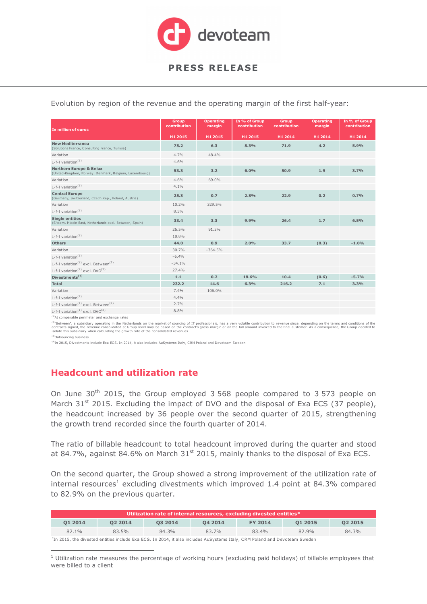

Evolution by region of the revenue and the operating margin of the first half-year:

| In million of euros                                                                          | Group<br>contribution | <b>Operating</b><br>margin | In % of Group<br>contribution | <b>Group</b><br>contribution | <b>Operating</b><br>margin | In % of Group<br>contribution |
|----------------------------------------------------------------------------------------------|-----------------------|----------------------------|-------------------------------|------------------------------|----------------------------|-------------------------------|
|                                                                                              | H1 2015               | H1 2015                    | H1 2015                       | H1 2014                      | H1 2014                    | H1 2014                       |
| <b>New Mediterranea</b><br>(Solutions France, Consulting France, Tunisia)                    | 75.2                  | 6.3                        | 8.3%                          | 71.9                         | 4.2                        | 5.9%                          |
| Variation                                                                                    | 4.7%                  | 48.4%                      |                               |                              |                            |                               |
| L-f-I variation <sup>(1)</sup>                                                               | 4.6%                  |                            |                               |                              |                            |                               |
| <b>Northern Europe &amp; Belux</b><br>(United-Kingdom, Norway, Denmark, Belgium, Luxembourg) | 53.3                  | 3.2                        | 6.0%                          | 50.9                         | 1.9                        | 3.7%                          |
| Variation                                                                                    | 4.6%                  | 69.0%                      |                               |                              |                            |                               |
| L-f-I variation $(1)$                                                                        | 4.1%                  |                            |                               |                              |                            |                               |
| <b>Central Europe</b><br>(Germany, Switzerland, Czech Rep., Poland, Austria)                 | 25.3                  | 0.7                        | 2.8%                          | 22.9                         | 0.2                        | 0.7%                          |
| Variation                                                                                    | 10.2%                 | 329.5%                     |                               |                              |                            |                               |
| L-f-I variation $(1)$                                                                        | 8.5%                  |                            |                               |                              |                            |                               |
| <b>Single entities</b><br>(S'team, Middle East, Netherlands excl. Between, Spain)            | 33.4                  | 3.3                        | 9.9%                          | 26.4                         | 1.7                        | 6.5%                          |
| Variation                                                                                    | 26.5%                 | 91.3%                      |                               |                              |                            |                               |
| L-f-I variation <sup>(1)</sup>                                                               | 18.8%                 |                            |                               |                              |                            |                               |
| <b>Others</b>                                                                                | 44.0                  | 0.9                        | 2.0%                          | 33.7                         | (0.3)                      | $-1.0%$                       |
| Variation                                                                                    | 30.7%                 | $-364.5%$                  |                               |                              |                            |                               |
| $L-f-1$ variation <sup>(1)</sup>                                                             | $-6.4%$               |                            |                               |                              |                            |                               |
| L-f-I variation <sup>(1)</sup> excl. Between <sup>(2)</sup>                                  | $-34.1%$              |                            |                               |                              |                            |                               |
| L-f-I variation <sup>(1)</sup> excl. DVO <sup>(3)</sup>                                      | 27.4%                 |                            |                               |                              |                            |                               |
| Divestments <sup>(4)</sup>                                                                   | 1.1                   | 0.2                        | 18.6%                         | 10.4                         | (0.6)                      | $-5.7%$                       |
| <b>Total</b>                                                                                 | 232.2                 | 14.6                       | 6.3%                          | 216.2                        | 7.1                        | 3.3%                          |
| Variation                                                                                    | 7.4%                  | 106.0%                     |                               |                              |                            |                               |
| L-f-I variation $(1)$                                                                        | 4.4%                  |                            |                               |                              |                            |                               |
| $L-f-1$ variation <sup>(1)</sup> excl. Between <sup>(2)</sup>                                | 2.7%                  |                            |                               |                              |                            |                               |
| L-f-I variation <sup>(1)</sup> excl. DVO <sup>(3)</sup>                                      | 8.8%                  |                            |                               |                              |                            |                               |
|                                                                                              |                       |                            |                               |                              |                            |                               |

 $(1)$ At comparable perimeter and exchange rates

<sup>(2)</sup>"Between", a subsidiary operating in the Netherlands on the market of sourcing of IT professionals, has a very volatile contribution to revenue since, depending on the terms and conditions of the<br>contracts signed, the

<sup>(3)</sup>Outsourcing business

(4)In 2015, Divestments include Exa ECS. In 2014, it also includes AuSystems Italy, CRM Poland and Devoteam Sweden

# **Headcount and utilization rate**

On June 30<sup>th</sup> 2015, the Group employed 3 568 people compared to 3 573 people on March  $31<sup>st</sup>$  2015. Excluding the impact of DVO and the disposal of Exa ECS (37 people), the headcount increased by 36 people over the second quarter of 2015, strengthening the growth trend recorded since the fourth quarter of 2014.

The ratio of billable headcount to total headcount improved during the quarter and stood at 84.7%, against 84.6% on March  $31<sup>st</sup>$  2015, mainly thanks to the disposal of Exa ECS.

On the second quarter, the Group showed a strong improvement of the utilization rate of internal resources<sup>1</sup> excluding divestments which improved 1.4 point at 84.3% compared to 82.9% on the previous quarter.

| Utilization rate of internal resources, excluding divested entities* |         |         |         |                |         |         |
|----------------------------------------------------------------------|---------|---------|---------|----------------|---------|---------|
| 01 2014                                                              | 02 2014 | 03 2014 | 04 2014 | <b>FY 2014</b> | 01 2015 | 02 2015 |
| $82.1\%$                                                             | 83.5%   | 84.3%   | 83.7%   | 83.4%          | 82.9%   | 84.3%   |

 $\overline{a}$ \* In 2015, the divested entities include Exa EC S. In 2014, it also includes AuSystems Italy, CRM Poland and Devoteam Sweden

<sup>&</sup>lt;sup>1</sup> Utilization rate measures the percentage of working hours (excluding paid holidays) of billable employees that were billed to a client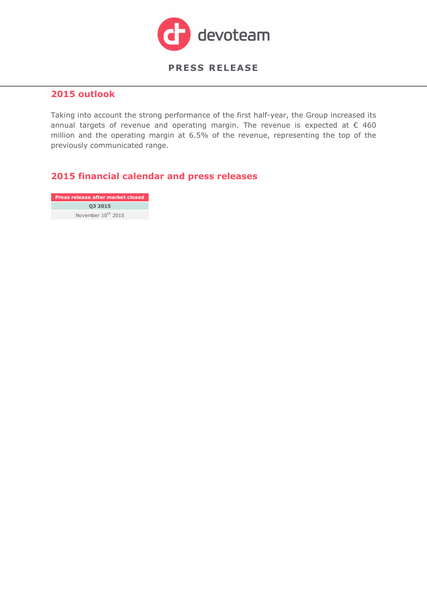

#### **2015 outlook**

Taking into account the strong performance of the first half-year, the Group increased its annual targets of revenue and operating margin. The revenue is expected at  $\epsilon$  460 million and the operating margin at 6.5% of the revenue, representing the top of the previously communicated range.

### **2015 financial calendar and press releases**

**Q3 2015** November  $10^{th}$  2015 **Press release after market closed**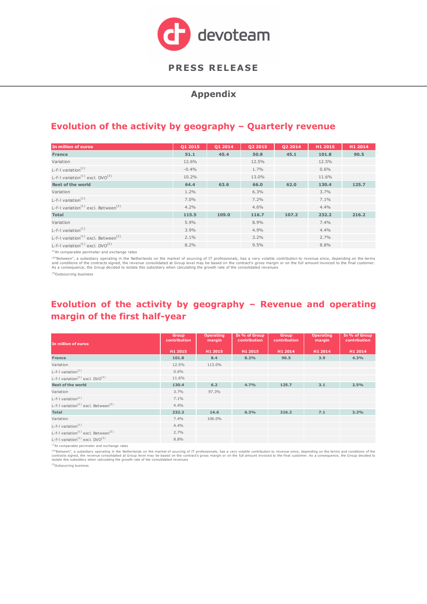

#### **Appendix**

## **Evolution of the activity by geography – Quarterly revenue**

| In million of euros                                         | Q1 2015 | Q1 2014 | Q2 2015 | 02 2014 | H1 2015 | H1 2014 |
|-------------------------------------------------------------|---------|---------|---------|---------|---------|---------|
| <b>France</b>                                               | 51.1    | 45.4    | 50.8    | 45.1    | 101.8   | 90.5    |
| Variation                                                   | 12.6%   |         | 12.5%   |         | 12.5%   |         |
| L-f-I variation $(1)$                                       | $-0.4%$ |         | 1.7%    |         | 0.6%    |         |
| L-f-I variation <sup>(1)</sup> excl. $DVO^{(3)}$            | 10.2%   |         | 13.0%   |         | 11.6%   |         |
| <b>Rest of the world</b>                                    | 64.4    | 63.6    | 66.0    | 62.0    | 130.4   | 125.7   |
| Variation                                                   | 1.2%    |         | 6.3%    |         | 3.7%    |         |
| L-f-I variation $(1)$                                       | $7.0\%$ |         | 7.2%    |         | 7.1%    |         |
| L-f-I variation <sup>(1)</sup> excl. Between <sup>(2)</sup> | 4.2%    |         | 4.6%    |         | 4.4%    |         |
| <b>Total</b>                                                | 115.5   | 109.0   | 116.7   | 107.2   | 232.2   | 216.2   |
| Variation                                                   | 5.9%    |         | 8.9%    |         | 7.4%    |         |
| L-f-I variation $(1)$                                       | 3.9%    |         | 4.9%    |         | 4.4%    |         |
| L-f-I variation <sup>(1)</sup> excl. Between <sup>(2)</sup> | 2.1%    |         | 3.2%    |         | 2.7%    |         |
| L-f-I variation <sup>(1)</sup> excl. $DVO^{(3)}$            | 8.2%    |         | 9.5%    |         | 8.8%    |         |

(1)At comparable perimeter and exchange rates

<sup>(2)</sup>"Between", a subsidiary operating in the Netherlands on the market of sourcing of IT professionals, has a very volatile contribution to revenue since, depending on the terms<br>and conditions of the contracts signed, the

(3)Outsourcing business

## **Evolution of the activity by geography – Revenue and operating margin of the first half-year**

| In million of euros                                            | <b>Group</b><br>contribution | <b>Operating</b><br>margin | In % of Group<br>contribution | <b>Group</b><br>contribution | <b>Operating</b><br>margin | In % of Group<br>contribution |
|----------------------------------------------------------------|------------------------------|----------------------------|-------------------------------|------------------------------|----------------------------|-------------------------------|
|                                                                | H1 2015                      | H1 2015                    | H1 2015                       | H1 2014                      | H1 2014                    | H1 2014                       |
| France                                                         | 101.8                        | 8.4                        | 8.2%                          | 90.5                         | 3.9                        | 4.3%                          |
| Variation                                                      | 12.5%                        | 113.0%                     |                               |                              |                            |                               |
| L-f-I variation $(1)$                                          | 0.6%                         |                            |                               |                              |                            |                               |
| L-f-I variation <sup><math>(1)</math></sup> excl. DVO $^{(3)}$ | 11.6%                        |                            |                               |                              |                            |                               |
| <b>Rest of the world</b>                                       | 130.4                        | 6.2                        | 4.7%                          | 125.7                        | 3.1                        | 2.5%                          |
| Variation                                                      | 3.7%                         | 97.3%                      |                               |                              |                            |                               |
| L-f-I variation <sup>(1)</sup>                                 | 7.1%                         |                            |                               |                              |                            |                               |
| L-f-I variation <sup>(1)</sup> excl. Between <sup>(2)</sup>    | 4.4%                         |                            |                               |                              |                            |                               |
| Total                                                          | 232.2                        | 14.6                       | 6.3%                          | 216.2                        | 7.1                        | 3.3%                          |
| Variation                                                      | 7.4%                         | 106.0%                     |                               |                              |                            |                               |
| L-f-I variation $(1)$                                          | 4.4%                         |                            |                               |                              |                            |                               |
| L-f-I variation <sup>(1)</sup> excl. Between <sup>(2)</sup>    | 2.7%                         |                            |                               |                              |                            |                               |
| L-f-I variation <sup>(1)</sup> excl. $DVO^{(3)}$               | 8.8%                         |                            |                               |                              |                            |                               |

(1)At comparable perimeter and exchange rates

<sup>(2)</sup>"Between", a subsidiary operating in the Netherlands on the market of sourcing of IT professionals, has a very volatile contribution to revenue since, depending on the terms and conditions of the<br>contracts signed, the

(3)<br>Outsourcing business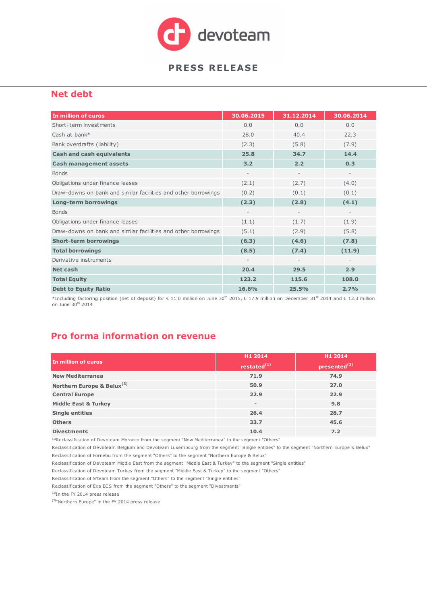

#### **Net debt**

| In million of euros                                            | 30.06.2015               | 31.12.2014               | 30.06.2014               |
|----------------------------------------------------------------|--------------------------|--------------------------|--------------------------|
| Short-term investments                                         | 0.0                      | 0.0                      | 0,0                      |
| Cash at bank*                                                  | 28.0                     | 40.4                     | 22.3                     |
| Bank overdrafts (liability)                                    | (2.3)                    | (5.8)                    | (7.9)                    |
| <b>Cash and cash equivalents</b>                               | 25.8                     | 34.7                     | 14.4                     |
| <b>Cash management assets</b>                                  | 3.2                      | 2.2                      | 0.3                      |
| <b>Bonds</b>                                                   | $\overline{\phantom{a}}$ | $\overline{\phantom{a}}$ | $\overline{\phantom{a}}$ |
| Obligations under finance leases                               | (2.1)                    | (2.7)                    | (4.0)                    |
| Draw-downs on bank and similar facilities and other borrowings | (0.2)                    | (0.1)                    | (0.1)                    |
| <b>Long-term borrowings</b>                                    | (2.3)                    | (2.8)                    | (4.1)                    |
| <b>Bonds</b>                                                   |                          |                          | $\qquad \qquad -$        |
| Obligations under finance leases                               | (1.1)                    | (1.7)                    | (1.9)                    |
| Draw-downs on bank and similar facilities and other borrowings | (5.1)                    | (2.9)                    | (5.8)                    |
| <b>Short-term borrowings</b>                                   | (6.3)                    | (4.6)                    | (7.8)                    |
| <b>Total borrowings</b>                                        | (8.5)                    | (7.4)                    | (11.9)                   |
| Derivative instruments                                         | $\overline{\phantom{a}}$ | $\overline{\phantom{a}}$ | $\overline{\phantom{a}}$ |
| Net cash                                                       | 20.4                     | 29.5                     | 2.9                      |
| <b>Total Equity</b>                                            | 123.2                    | 115.6                    | 108.0                    |
| <b>Debt to Equity Ratio</b>                                    | 16.6%                    | 25.5%                    | 2.7%                     |

\*Including factoring position (net of deposit) for € 11.0 million on June 30th 2015, € 17.9 million on December 31st 2014 and € 12.3 million on June 30<sup>th</sup> 2014

# **Pro forma information on revenue**

|                                        | H1 2014        | H1 2014                  |
|----------------------------------------|----------------|--------------------------|
| In million of euros                    | restated $(1)$ | presented <sup>(2)</sup> |
| <b>New Mediterranea</b>                | 71.9           | 74.9                     |
| Northern Europe & Belux <sup>(3)</sup> | 50.9           | 27.0                     |
| <b>Central Europe</b>                  | 22.9           | 22.9                     |
| <b>Middle East &amp; Turkey</b>        |                | 9.8                      |
| <b>Single entities</b>                 | 26.4           | 28.7                     |
| <b>Others</b>                          | 33.7           | 45.6                     |
| <b>Divestments</b>                     | 10.4           | 7.2                      |

(1)Reclassification of Devoteam Morocco from the segment "New Mediterranea" to the segment "Others"

Reclassification of Fornebu from the segment "Others" to the segment "Northern Europe & Belux" Reclassification of Devoteam Belgium and Devoteam Luxembourg from the segment "Single entities" to the segment "Northern Europe & Belux"

Reclassification of Devoteam Middle East from the segment "Middle East & Turkey" to the segment "Single entities"

Reclassification of Devoteam Turkey from the segment "Middle East & Turkey" to the segment "Others"

Reclassification of S'team from the segment "Others" to the segment "Single entities" Reclassification of Exa ECS from the segment "Others" to the segment "Divestments"

(2)In the FY 2014 press release

<sup>(3)</sup>"Northern Europe" in the FY 2014 press release